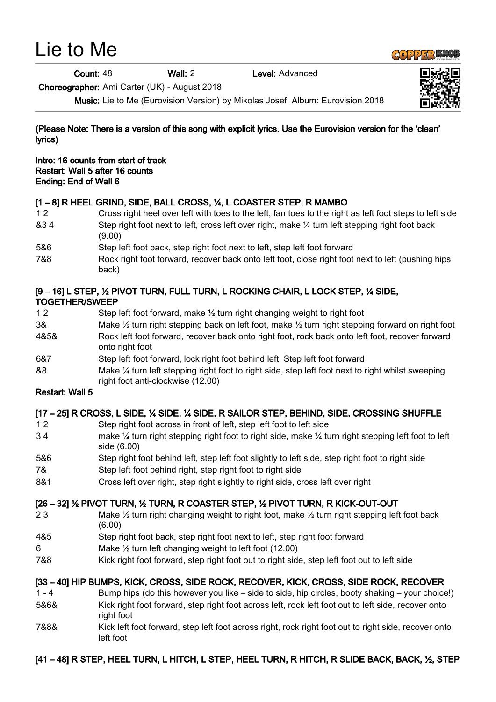# Lie to Me

Count: 48 Wall: 2 Level: Advanced

Choreographer: Ami Carter (UK) - August 2018

Music: Lie to Me (Eurovision Version) by Mikolas Josef. Album: Eurovision 2018

(Please Note: There is a version of this song with explicit lyrics. Use the Eurovision version for the 'clean' lyrics)

Intro: 16 counts from start of track Restart: Wall 5 after 16 counts Ending: End of Wall 6

## [1 – 8] R HEEL GRIND, SIDE, BALL CROSS, ¼, L COASTER STEP, R MAMBO

- 1 2 Cross right heel over left with toes to the left, fan toes to the right as left foot steps to left side &3 4 Step right foot next to left, cross left over right, make ¼ turn left stepping right foot back (9.00)
- 5&6 Step left foot back, step right foot next to left, step left foot forward
- 7&8 Rock right foot forward, recover back onto left foot, close right foot next to left (pushing hips back)

#### [9 – 16] L STEP, ½ PIVOT TURN, FULL TURN, L ROCKING CHAIR, L LOCK STEP, ¼ SIDE, TOGETHER/SWEEP

- 1 2 Step left foot forward, make 1/2 turn right changing weight to right foot 3& Make ½ turn right stepping back on left foot, make ½ turn right stepping forward on right foot 4&5& Rock left foot forward, recover back onto right foot, rock back onto left foot, recover forward onto right foot
- 6&7 Step left foot forward, lock right foot behind left, Step left foot forward
- &8 Make ¼ turn left stepping right foot to right side, step left foot next to right whilst sweeping right foot anti-clockwise (12.00)

#### Restart: Wall 5

## [17 – 25] R CROSS, L SIDE, ¼ SIDE, ¼ SIDE, R SAILOR STEP, BEHIND, SIDE, CROSSING SHUFFLE

- 1 2 Step right foot across in front of left, step left foot to left side
- 3 4 make ¼ turn right stepping right foot to right side, make ¼ turn right stepping left foot to left side (6.00)
- 5&6 Step right foot behind left, step left foot slightly to left side, step right foot to right side
- 7& Step left foot behind right, step right foot to right side
- 8&1 Cross left over right, step right slightly to right side, cross left over right

## [26 – 32] ½ PIVOT TURN, ½ TURN, R COASTER STEP, ½ PIVOT TURN, R KICK-OUT-OUT

- 2 3 Make <sup>1/2</sup> turn right changing weight to right foot, make <sup>1/2</sup> turn right stepping left foot back (6.00)
- 4&5 Step right foot back, step right foot next to left, step right foot forward
- 6 Make  $\frac{1}{2}$  turn left changing weight to left foot (12.00)
- 7&8 Kick right foot forward, step right foot out to right side, step left foot out to left side

## [33 – 40] HIP BUMPS, KICK, CROSS, SIDE ROCK, RECOVER, KICK, CROSS, SIDE ROCK, RECOVER

- 1 4 Bump hips (do this however you like side to side, hip circles, booty shaking your choice!) 5&6& Kick right foot forward, step right foot across left, rock left foot out to left side, recover onto
- right foot 7&8& Kick left foot forward, step left foot across right, rock right foot out to right side, recover onto left foot

# [41 – 48] R STEP, HEEL TURN, L HITCH, L STEP, HEEL TURN, R HITCH, R SLIDE BACK, BACK, ½, STEP